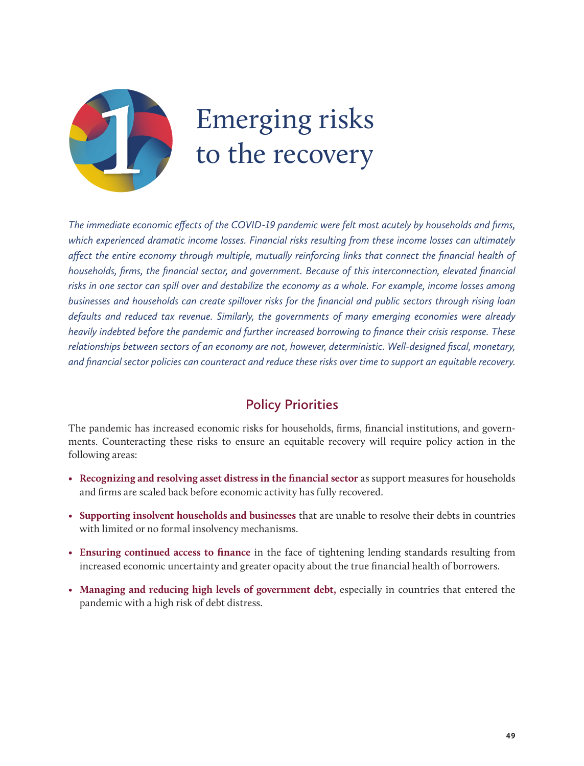

# Emerging risks to the recovery

*The immediate economic effects of the COVID-19 pandemic were felt most acutely by households and firms, which experienced dramatic income losses. Financial risks resulting from these income losses can ultimately affect the entire economy through multiple, mutually reinforcing links that connect the financial health of households, firms, the financial sector, and government. Because of this interconnection, elevated financial risks in one sector can spill over and destabilize the economy as a whole. For example, income losses among businesses and households can create spillover risks for the financial and public sectors through rising loan defaults and reduced tax revenue. Similarly, the governments of many emerging economies were already heavily indebted before the pandemic and further increased borrowing to finance their crisis response. These relationships between sectors of an economy are not, however, deterministic. Well-designed fiscal, monetary, and financial sector policies can counteract and reduce these risks over time to support an equitable recovery.*

### **Policy Priorities**

The pandemic has increased economic risks for households, firms, financial institutions, and governments. Counteracting these risks to ensure an equitable recovery will require policy action in the following areas:

- **Recognizing and resolving asset distress in the financial sector** as support measures for households and firms are scaled back before economic activity has fully recovered.
- • **Supporting insolvent households and businesses** that are unable to resolve their debts in countries with limited or no formal insolvency mechanisms.
- • **Ensuring continued access to finance** in the face of tightening lending standards resulting from increased economic uncertainty and greater opacity about the true financial health of borrowers.
- • **Managing and reducing high levels of government debt,** especially in countries that entered the pandemic with a high risk of debt distress.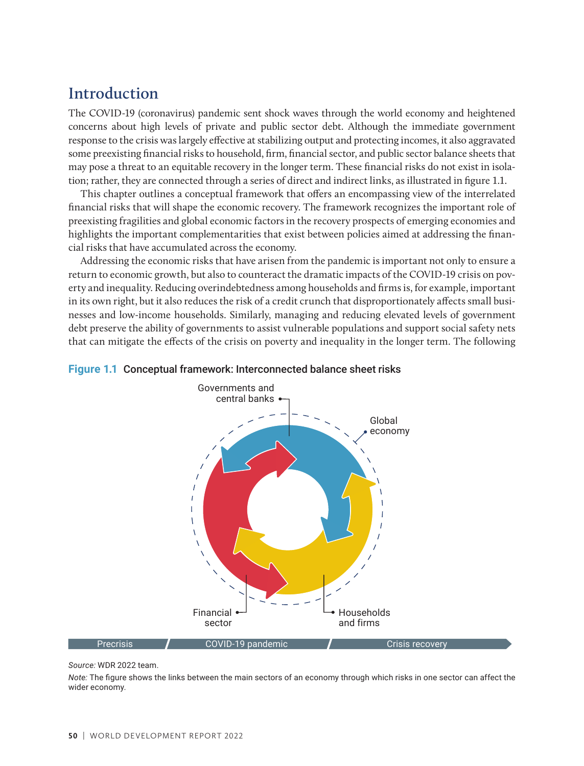# **Introduction**

The COVID-19 (coronavirus) pandemic sent shock waves through the world economy and heightened concerns about high levels of private and public sector debt. Although the immediate government response to the crisis was largely effective at stabilizing output and protecting incomes, it also aggravated some preexisting financial risks to household, firm, financial sector, and public sector balance sheets that may pose a threat to an equitable recovery in the longer term. These financial risks do not exist in isolation; rather, they are connected through a series of direct and indirect links, as illustrated in figure 1.1.

This chapter outlines a conceptual framework that offers an encompassing view of the interrelated financial risks that will shape the economic recovery. The framework recognizes the important role of preexisting fragilities and global economic factors in the recovery prospects of emerging economies and highlights the important complementarities that exist between policies aimed at addressing the financial risks that have accumulated across the economy.

Addressing the economic risks that have arisen from the pandemic is important not only to ensure a return to economic growth, but also to counteract the dramatic impacts of the COVID-19 crisis on poverty and inequality. Reducing overindebtedness among households and firms is, for example, important in its own right, but it also reduces the risk of a credit crunch that disproportionately affects small businesses and low-income households. Similarly, managing and reducing elevated levels of government debt preserve the ability of governments to assist vulnerable populations and support social safety nets that can mitigate the effects of the crisis on poverty and inequality in the longer term. The following



#### **Figure 1.1** Conceptual framework: Interconnected balance sheet risks

#### *Source:* WDR 2022 team.

*Note:* The figure shows the links between the main sectors of an economy through which risks in one sector can affect the wider economy.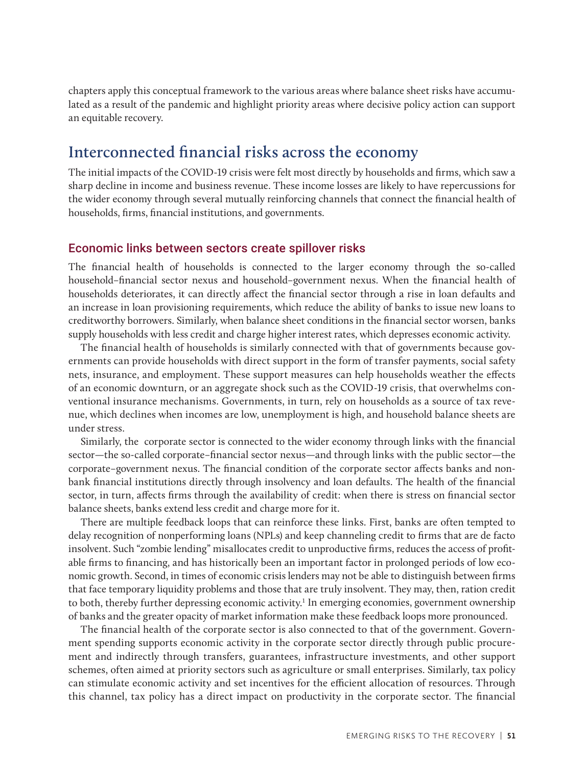chapters apply this conceptual framework to the various areas where balance sheet risks have accumulated as a result of the pandemic and highlight priority areas where decisive policy action can support an equitable recovery.

### **Interconnected financial risks across the economy**

The initial impacts of the COVID-19 crisis were felt most directly by households and firms, which saw a sharp decline in income and business revenue. These income losses are likely to have repercussions for the wider economy through several mutually reinforcing channels that connect the financial health of households, firms, financial institutions, and governments.

#### Economic links between sectors create spillover risks

The financial health of households is connected to the larger economy through the so-called household–financial sector nexus and household–government nexus. When the financial health of households deteriorates, it can directly affect the financial sector through a rise in loan defaults and an increase in loan provisioning requirements, which reduce the ability of banks to issue new loans to creditworthy borrowers. Similarly, when balance sheet conditions in the financial sector worsen, banks supply households with less credit and charge higher interest rates, which depresses economic activity.

The financial health of households is similarly connected with that of governments because governments can provide households with direct support in the form of transfer payments, social safety nets, insurance, and employment. These support measures can help households weather the effects of an economic downturn, or an aggregate shock such as the COVID-19 crisis, that overwhelms conventional insurance mechanisms. Governments, in turn, rely on households as a source of tax revenue, which declines when incomes are low, unemployment is high, and household balance sheets are under stress.

Similarly, the corporate sector is connected to the wider economy through links with the financial sector—the so-called corporate–financial sector nexus—and through links with the public sector—the corporate–government nexus. The financial condition of the corporate sector affects banks and nonbank financial institutions directly through insolvency and loan defaults. The health of the financial sector, in turn, affects firms through the availability of credit: when there is stress on financial sector balance sheets, banks extend less credit and charge more for it.

There are multiple feedback loops that can reinforce these links. First, banks are often tempted to delay recognition of nonperforming loans (NPLs) and keep channeling credit to firms that are de facto insolvent. Such "zombie lending" misallocates credit to unproductive firms, reduces the access of profitable firms to financing, and has historically been an important factor in prolonged periods of low economic growth. Second, in times of economic crisis lenders may not be able to distinguish between firms that face temporary liquidity problems and those that are truly insolvent. They may, then, ration credit to both, thereby further depressing economic activity.<sup>1</sup> In emerging economies, government ownership of banks and the greater opacity of market information make these feedback loops more pronounced.

The financial health of the corporate sector is also connected to that of the government. Government spending supports economic activity in the corporate sector directly through public procurement and indirectly through transfers, guarantees, infrastructure investments, and other support schemes, often aimed at priority sectors such as agriculture or small enterprises. Similarly, tax policy can stimulate economic activity and set incentives for the efficient allocation of resources. Through this channel, tax policy has a direct impact on productivity in the corporate sector. The financial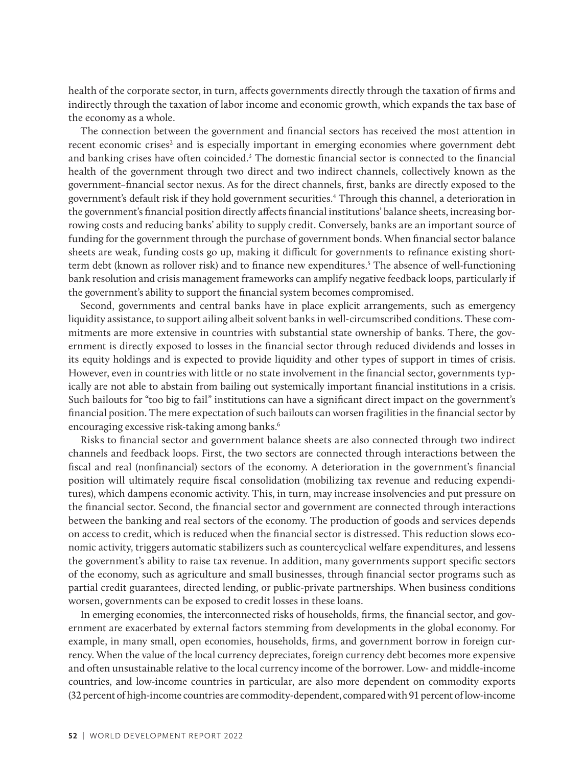health of the corporate sector, in turn, affects governments directly through the taxation of firms and indirectly through the taxation of labor income and economic growth, which expands the tax base of the economy as a whole.

The connection between the government and financial sectors has received the most attention in recent economic crises<sup>2</sup> and is especially important in emerging economies where government debt and banking crises have often coincided.<sup>3</sup> The domestic financial sector is connected to the financial health of the government through two direct and two indirect channels, collectively known as the government–financial sector nexus. As for the direct channels, first, banks are directly exposed to the government's default risk if they hold government securities.4 Through this channel, a deterioration in the government's financial position directly affects financial institutions' balance sheets, increasing borrowing costs and reducing banks' ability to supply credit. Conversely, banks are an important source of funding for the government through the purchase of government bonds. When financial sector balance sheets are weak, funding costs go up, making it difficult for governments to refinance existing shortterm debt (known as rollover risk) and to finance new expenditures.<sup>5</sup> The absence of well-functioning bank resolution and crisis management frameworks can amplify negative feedback loops, particularly if the government's ability to support the financial system becomes compromised.

Second, governments and central banks have in place explicit arrangements, such as emergency liquidity assistance, to support ailing albeit solvent banks in well-circumscribed conditions. These commitments are more extensive in countries with substantial state ownership of banks. There, the government is directly exposed to losses in the financial sector through reduced dividends and losses in its equity holdings and is expected to provide liquidity and other types of support in times of crisis. However, even in countries with little or no state involvement in the financial sector, governments typically are not able to abstain from bailing out systemically important financial institutions in a crisis. Such bailouts for "too big to fail" institutions can have a significant direct impact on the government's financial position. The mere expectation of such bailouts can worsen fragilities in the financial sector by encouraging excessive risk-taking among banks.<sup>6</sup>

Risks to financial sector and government balance sheets are also connected through two indirect channels and feedback loops. First, the two sectors are connected through interactions between the fiscal and real (nonfinancial) sectors of the economy. A deterioration in the government's financial position will ultimately require fiscal consolidation (mobilizing tax revenue and reducing expenditures), which dampens economic activity. This, in turn, may increase insolvencies and put pressure on the financial sector. Second, the financial sector and government are connected through interactions between the banking and real sectors of the economy. The production of goods and services depends on access to credit, which is reduced when the financial sector is distressed. This reduction slows economic activity, triggers automatic stabilizers such as countercyclical welfare expenditures, and lessens the government's ability to raise tax revenue. In addition, many governments support specific sectors of the economy, such as agriculture and small businesses, through financial sector programs such as partial credit guarantees, directed lending, or public-private partnerships. When business conditions worsen, governments can be exposed to credit losses in these loans.

In emerging economies, the interconnected risks of households, firms, the financial sector, and government are exacerbated by external factors stemming from developments in the global economy. For example, in many small, open economies, households, firms, and government borrow in foreign currency. When the value of the local currency depreciates, foreign currency debt becomes more expensive and often unsustainable relative to the local currency income of the borrower. Low- and middle-income countries, and low-income countries in particular, are also more dependent on commodity exports (32 percent of high-income countries are commodity-dependent, compared with 91 percent of low-income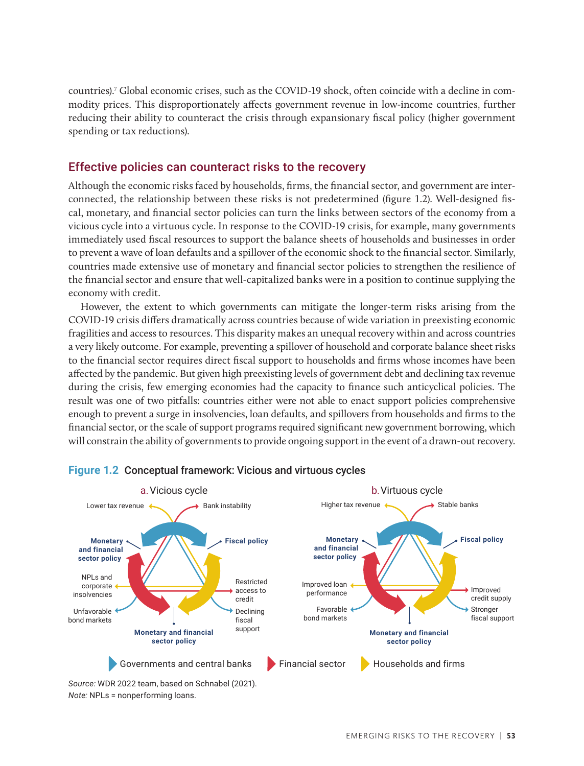countries).7 Global economic crises, such as the COVID-19 shock, often coincide with a decline in commodity prices. This disproportionately affects government revenue in low-income countries, further reducing their ability to counteract the crisis through expansionary fiscal policy (higher government spending or tax reductions).

#### Effective policies can counteract risks to the recovery

Although the economic risks faced by households, firms, the financial sector, and government are interconnected, the relationship between these risks is not predetermined (figure 1.2). Well-designed fiscal, monetary, and financial sector policies can turn the links between sectors of the economy from a vicious cycle into a virtuous cycle. In response to the COVID-19 crisis, for example, many governments immediately used fiscal resources to support the balance sheets of households and businesses in order to prevent a wave of loan defaults and a spillover of the economic shock to the financial sector. Similarly, countries made extensive use of monetary and financial sector policies to strengthen the resilience of the financial sector and ensure that well-capitalized banks were in a position to continue supplying the economy with credit.

However, the extent to which governments can mitigate the longer-term risks arising from the COVID-19 crisis differs dramatically across countries because of wide variation in preexisting economic fragilities and access to resources. This disparity makes an unequal recovery within and across countries a very likely outcome. For example, preventing a spillover of household and corporate balance sheet risks to the financial sector requires direct fiscal support to households and firms whose incomes have been affected by the pandemic. But given high preexisting levels of government debt and declining tax revenue during the crisis, few emerging economies had the capacity to finance such anticyclical policies. The result was one of two pitfalls: countries either were not able to enact support policies comprehensive enough to prevent a surge in insolvencies, loan defaults, and spillovers from households and firms to the financial sector, or the scale of support programs required significant new government borrowing, which will constrain the ability of governments to provide ongoing support in the event of a drawn-out recovery.



#### **Figure 1.2** Conceptual framework: Vicious and virtuous cycles

*Note:* NPLs = nonperforming loans.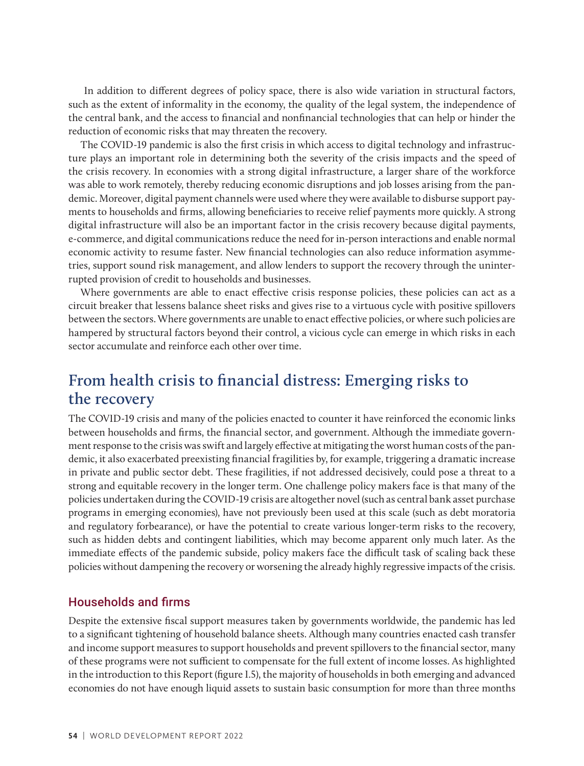In addition to different degrees of policy space, there is also wide variation in structural factors, such as the extent of informality in the economy, the quality of the legal system, the independence of the central bank, and the access to financial and nonfinancial technologies that can help or hinder the reduction of economic risks that may threaten the recovery.

The COVID-19 pandemic is also the first crisis in which access to digital technology and infrastructure plays an important role in determining both the severity of the crisis impacts and the speed of the crisis recovery. In economies with a strong digital infrastructure, a larger share of the workforce was able to work remotely, thereby reducing economic disruptions and job losses arising from the pandemic. Moreover, digital payment channels were used where they were available to disburse support payments to households and firms, allowing beneficiaries to receive relief payments more quickly. A strong digital infrastructure will also be an important factor in the crisis recovery because digital payments, e-commerce, and digital communications reduce the need for in-person interactions and enable normal economic activity to resume faster. New financial technologies can also reduce information asymmetries, support sound risk management, and allow lenders to support the recovery through the uninterrupted provision of credit to households and businesses.

Where governments are able to enact effective crisis response policies, these policies can act as a circuit breaker that lessens balance sheet risks and gives rise to a virtuous cycle with positive spillovers between the sectors. Where governments are unable to enact effective policies, or where such policies are hampered by structural factors beyond their control, a vicious cycle can emerge in which risks in each sector accumulate and reinforce each other over time.

## **From health crisis to financial distress: Emerging risks to the recovery**

The COVID-19 crisis and many of the policies enacted to counter it have reinforced the economic links between households and firms, the financial sector, and government. Although the immediate government response to the crisis was swift and largely effective at mitigating the worst human costs of the pandemic, it also exacerbated preexisting financial fragilities by, for example, triggering a dramatic increase in private and public sector debt. These fragilities, if not addressed decisively, could pose a threat to a strong and equitable recovery in the longer term. One challenge policy makers face is that many of the policies undertaken during the COVID-19 crisis are altogether novel (such as central bank asset purchase programs in emerging economies), have not previously been used at this scale (such as debt moratoria and regulatory forbearance), or have the potential to create various longer-term risks to the recovery, such as hidden debts and contingent liabilities, which may become apparent only much later. As the immediate effects of the pandemic subside, policy makers face the difficult task of scaling back these policies without dampening the recovery or worsening the already highly regressive impacts of the crisis.

#### Households and firms

Despite the extensive fiscal support measures taken by governments worldwide, the pandemic has led to a significant tightening of household balance sheets. Although many countries enacted cash transfer and income support measures to support households and prevent spillovers to the financial sector, many of these programs were not sufficient to compensate for the full extent of income losses. As highlighted in the introduction to this Report (figure I.5), the majority of households in both emerging and advanced economies do not have enough liquid assets to sustain basic consumption for more than three months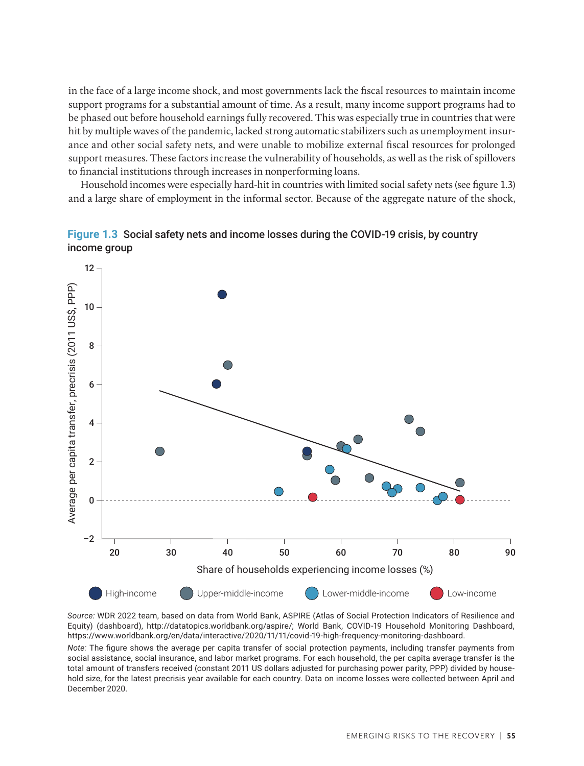in the face of a large income shock, and most governments lack the fiscal resources to maintain income support programs for a substantial amount of time. As a result, many income support programs had to be phased out before household earnings fully recovered. This was especially true in countries that were hit by multiple waves of the pandemic, lacked strong automatic stabilizers such as unemployment insurance and other social safety nets, and were unable to mobilize external fiscal resources for prolonged support measures. These factors increase the vulnerability of households, as well as the risk of spillovers to financial institutions through increases in nonperforming loans.

Household incomes were especially hard-hit in countries with limited social safety nets (see figure 1.3) and a large share of employment in the informal sector. Because of the aggregate nature of the shock,



Figure 1.3 **Figure 1.3** Social safety nets and income losses during the COVID-19 crisis, by country income group

*Source:* WDR 2022 team, based on data from World Bank, ASPIRE (Atlas of Social Protection Indicators of Resilience and Equity) (dashboard), http://datatopics.worldbank.org/aspire/; World Bank, COVID-19 Household Monitoring Dashboard, https://www.worldbank.org/en/data/interactive/2020/11/11/covid-19-high-frequency-monitoring-dashboard.

*Note:* The figure shows the average per capita transfer of social protection payments, including transfer payments from social assistance, social insurance, and labor market programs. For each household, the per capita average transfer is the total amount of transfers received (constant 2011 US dollars adjusted for purchasing power parity, PPP) divided by household size, for the latest precrisis year available for each country. Data on income losses were collected between April and December 2020.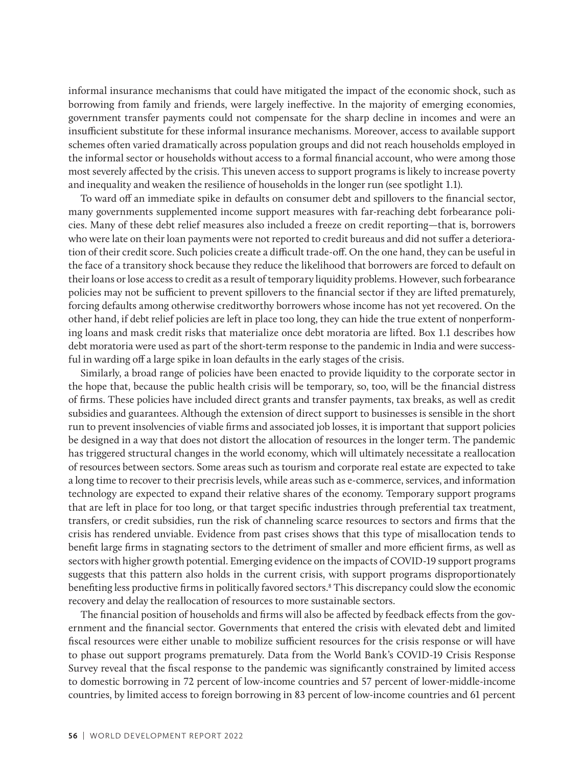informal insurance mechanisms that could have mitigated the impact of the economic shock, such as borrowing from family and friends, were largely ineffective. In the majority of emerging economies, government transfer payments could not compensate for the sharp decline in incomes and were an insufficient substitute for these informal insurance mechanisms. Moreover, access to available support schemes often varied dramatically across population groups and did not reach households employed in the informal sector or households without access to a formal financial account, who were among those most severely affected by the crisis. This uneven access to support programs is likely to increase poverty and inequality and weaken the resilience of households in the longer run (see spotlight 1.1).

To ward off an immediate spike in defaults on consumer debt and spillovers to the financial sector, many governments supplemented income support measures with far-reaching debt forbearance policies. Many of these debt relief measures also included a freeze on credit reporting—that is, borrowers who were late on their loan payments were not reported to credit bureaus and did not suffer a deterioration of their credit score. Such policies create a difficult trade-off. On the one hand, they can be useful in the face of a transitory shock because they reduce the likelihood that borrowers are forced to default on their loans or lose access to credit as a result of temporary liquidity problems. However, such forbearance policies may not be sufficient to prevent spillovers to the financial sector if they are lifted prematurely, forcing defaults among otherwise creditworthy borrowers whose income has not yet recovered. On the other hand, if debt relief policies are left in place too long, they can hide the true extent of nonperforming loans and mask credit risks that materialize once debt moratoria are lifted. Box 1.1 describes how debt moratoria were used as part of the short-term response to the pandemic in India and were successful in warding off a large spike in loan defaults in the early stages of the crisis.

Similarly, a broad range of policies have been enacted to provide liquidity to the corporate sector in the hope that, because the public health crisis will be temporary, so, too, will be the financial distress of firms. These policies have included direct grants and transfer payments, tax breaks, as well as credit subsidies and guarantees. Although the extension of direct support to businesses is sensible in the short run to prevent insolvencies of viable firms and associated job losses, it is important that support policies be designed in a way that does not distort the allocation of resources in the longer term. The pandemic has triggered structural changes in the world economy, which will ultimately necessitate a reallocation of resources between sectors. Some areas such as tourism and corporate real estate are expected to take a long time to recover to their precrisis levels, while areas such as e-commerce, services, and information technology are expected to expand their relative shares of the economy. Temporary support programs that are left in place for too long, or that target specific industries through preferential tax treatment, transfers, or credit subsidies, run the risk of channeling scarce resources to sectors and firms that the crisis has rendered unviable. Evidence from past crises shows that this type of misallocation tends to benefit large firms in stagnating sectors to the detriment of smaller and more efficient firms, as well as sectors with higher growth potential. Emerging evidence on the impacts of COVID-19 support programs suggests that this pattern also holds in the current crisis, with support programs disproportionately benefiting less productive firms in politically favored sectors.8 This discrepancy could slow the economic recovery and delay the reallocation of resources to more sustainable sectors.

The financial position of households and firms will also be affected by feedback effects from the government and the financial sector. Governments that entered the crisis with elevated debt and limited fiscal resources were either unable to mobilize sufficient resources for the crisis response or will have to phase out support programs prematurely. Data from the World Bank's COVID-19 Crisis Response Survey reveal that the fiscal response to the pandemic was significantly constrained by limited access to domestic borrowing in 72 percent of low-income countries and 57 percent of lower-middle-income countries, by limited access to foreign borrowing in 83 percent of low-income countries and 61 percent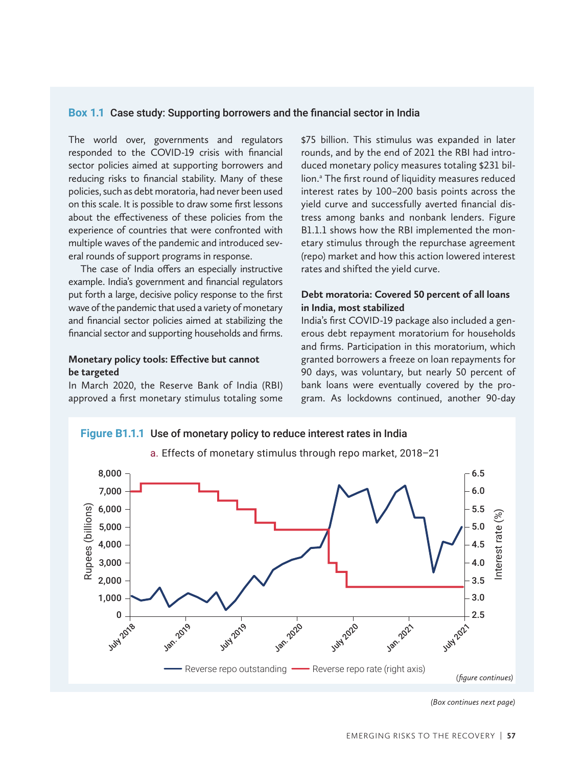#### **Box 1.1** Case study: Supporting borrowers and the financial sector in India

The world over, governments and regulators responded to the COVID-19 crisis with financial sector policies aimed at supporting borrowers and reducing risks to financial stability. Many of these policies, such as debt moratoria, had never been used on this scale. It is possible to draw some first lessons about the effectiveness of these policies from the experience of countries that were confronted with multiple waves of the pandemic and introduced several rounds of support programs in response.

The case of India offers an especially instructive example. India's government and financial regulators put forth a large, decisive policy response to the first wave of the pandemic that used a variety of monetary and financial sector policies aimed at stabilizing the financial sector and supporting households and firms.

#### **Monetary policy tools: Effective but cannot be targeted**

In March 2020, the Reserve Bank of India (RBI) approved a first monetary stimulus totaling some \$75 billion. This stimulus was expanded in later rounds, and by the end of 2021 the RBI had introduced monetary policy measures totaling \$231 billion.<sup>a</sup> The first round of liquidity measures reduced interest rates by 100–200 basis points across the yield curve and successfully averted financial distress among banks and nonbank lenders. Figure B1.1.1 shows how the RBI implemented the monetary stimulus through the repurchase agreement (repo) market and how this action lowered interest rates and shifted the yield curve.

#### **Debt moratoria: Covered 50 percent of all loans in India, most stabilized**

India's first COVID-19 package also included a generous debt repayment moratorium for households and firms. Participation in this moratorium, which granted borrowers a freeze on loan repayments for 90 days, was voluntary, but nearly 50 percent of bank loans were eventually covered by the program. As lockdowns continued, another 90-day



*(Box continues next page)*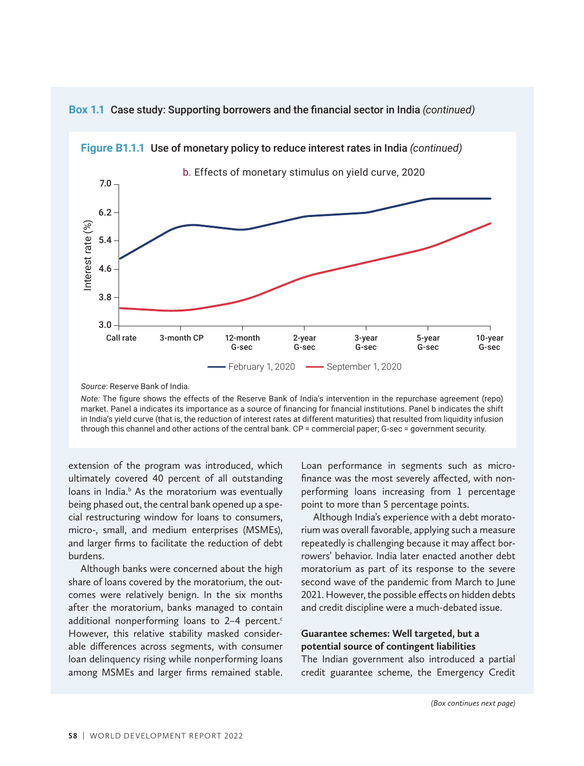

Box 1.1 Case study: Supporting borrowers and the financial sector in India *(continued)* 

*Source*: Reserve Bank of India.

*Note:* The figure shows the effects of the Reserve Bank of India's intervention in the repurchase agreement (repo) market. Panel a indicates its importance as a source of financing for financial institutions. Panel b indicates the shift in India's yield curve (that is, the reduction of interest rates at different maturities) that resulted from liquidity infusion through this channel and other actions of the central bank. CP = commercial paper; G-sec = government security.

extension of the program was introduced, which ultimately covered 40 percent of all outstanding loans in India.<sup>b</sup> As the moratorium was eventually being phased out, the central bank opened up a special restructuring window for loans to consumers, micro-, small, and medium enterprises (MSMEs), and larger firms to facilitate the reduction of debt burdens.

Although banks were concerned about the high share of loans covered by the moratorium, the outcomes were relatively benign. In the six months after the moratorium, banks managed to contain additional nonperforming loans to 2-4 percent. $c$ However, this relative stability masked considerable differences across segments, with consumer loan delinquency rising while nonperforming loans among MSMEs and larger firms remained stable. Loan performance in segments such as microfinance was the most severely affected, with nonperforming loans increasing from 1 percentage point to more than 5 percentage points.

Although India's experience with a debt moratorium was overall favorable, applying such a measure repeatedly is challenging because it may affect borrowers' behavior. India later enacted another debt moratorium as part of its response to the severe second wave of the pandemic from March to June 2021. However, the possible effects on hidden debts and credit discipline were a much-debated issue.

#### **Guarantee schemes: Well targeted, but a potential source of contingent liabilities**

The Indian government also introduced a partial credit guarantee scheme, the Emergency Credit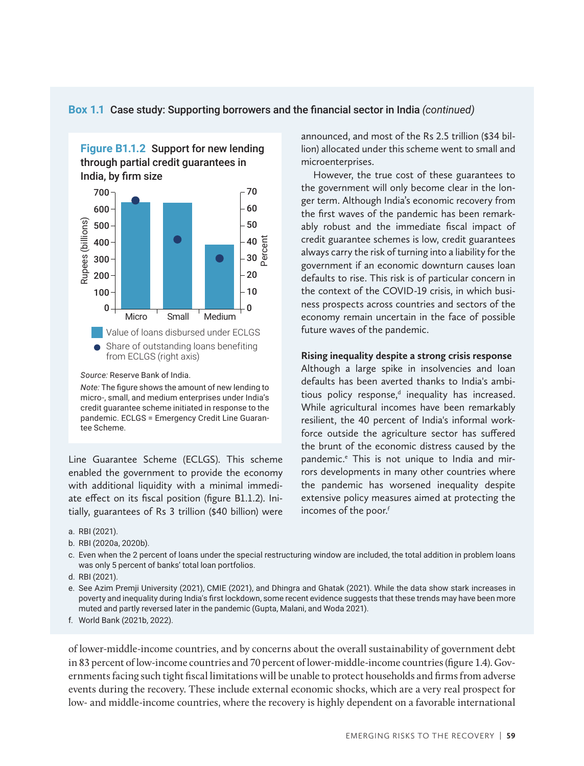#### **Box 1.1** Case study: Supporting borrowers and the financial sector in India *(continued)*



*Source:* Reserve Bank of India.

*Note:* The figure shows the amount of new lending to micro-, small, and medium enterprises under India's credit guarantee scheme initiated in response to the pandemic. ECLGS = Emergency Credit Line Guarantee Scheme.

Line Guarantee Scheme (ECLGS). This scheme enabled the government to provide the economy with additional liquidity with a minimal immediate effect on its fiscal position (figure B1.1.2). Initially, guarantees of Rs 3 trillion (\$40 billion) were announced, and most of the Rs 2.5 trillion (\$34 billion) allocated under this scheme went to small and microenterprises.

However, the true cost of these guarantees to the government will only become clear in the longer term. Although India's economic recovery from the first waves of the pandemic has been remarkably robust and the immediate fiscal impact of credit guarantee schemes is low, credit guarantees always carry the risk of turning into a liability for the government if an economic downturn causes loan defaults to rise. This risk is of particular concern in the context of the COVID-19 crisis, in which business prospects across countries and sectors of the economy remain uncertain in the face of possible future waves of the pandemic.

#### **Rising inequality despite a strong crisis response**

Although a large spike in insolvencies and loan defaults has been averted thanks to India's ambitious policy response, $d$  inequality has increased. While agricultural incomes have been remarkably resilient, the 40 percent of India's informal workforce outside the agriculture sector has suffered the brunt of the economic distress caused by the pandemic.<sup>e</sup> This is not unique to India and mirrors developments in many other countries where the pandemic has worsened inequality despite extensive policy measures aimed at protecting the incomes of the poor.<sup>f</sup>

- c. Even when the 2 percent of loans under the special restructuring window are included, the total addition in problem loans was only 5 percent of banks' total loan portfolios.
- d. RBI (2021).
- e. See Azim Premji University (2021), CMIE (2021), and Dhingra and Ghatak (2021). While the data show stark increases in poverty and inequality during India's first lockdown, some recent evidence suggests that these trends may have been more muted and partly reversed later in the pandemic (Gupta, Malani, and Woda 2021).

f. World Bank (2021b, 2022).

of lower-middle-income countries, and by concerns about the overall sustainability of government debt in 83 percent of low-income countries and 70 percent of lower-middle-income countries (figure 1.4). Governments facing such tight fiscal limitations will be unable to protect households and firms from adverse events during the recovery. These include external economic shocks, which are a very real prospect for low- and middle-income countries, where the recovery is highly dependent on a favorable international

a. RBI (2021).

b. RBI (2020a, 2020b).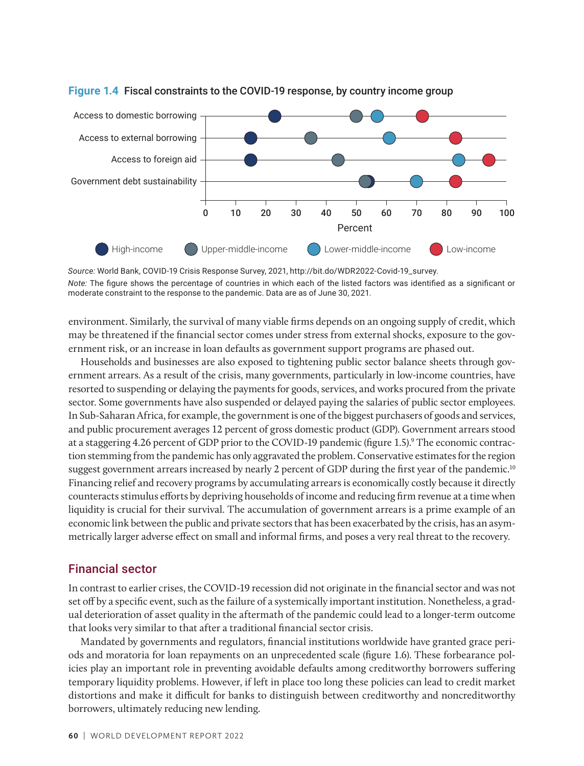

# **Figure 1.4** Fiscal constraints to the COVID-19 response, by country income group Figure 1.4

environment. Similarly, the survival of many viable firms depends on an ongoing supply of credit, which may be threatened if the financial sector comes under stress from external shocks, exposure to the government risk, or an increase in loan defaults as government support programs are phased out.

Households and businesses are also exposed to tightening public sector balance sheets through government arrears. As a result of the crisis, many governments, particularly in low-income countries, have resorted to suspending or delaying the payments for goods, services, and works procured from the private sector. Some governments have also suspended or delayed paying the salaries of public sector employees. In Sub-Saharan Africa, for example, the government is one of the biggest purchasers of goods and services, and public procurement averages 12 percent of gross domestic product (GDP). Government arrears stood at a staggering 4.26 percent of GDP prior to the COVID-19 pandemic (figure 1.5).<sup>9</sup> The economic contraction stemming from the pandemic has only aggravated the problem. Conservative estimates for the region suggest government arrears increased by nearly 2 percent of GDP during the first year of the pandemic.<sup>10</sup> Financing relief and recovery programs by accumulating arrears is economically costly because it directly counteracts stimulus efforts by depriving households of income and reducing firm revenue at a time when liquidity is crucial for their survival. The accumulation of government arrears is a prime example of an economic link between the public and private sectors that has been exacerbated by the crisis, has an asymmetrically larger adverse effect on small and informal firms, and poses a very real threat to the recovery.

#### Financial sector

In contrast to earlier crises, the COVID-19 recession did not originate in the financial sector and was not set off by a specific event, such as the failure of a systemically important institution. Nonetheless, a gradual deterioration of asset quality in the aftermath of the pandemic could lead to a longer-term outcome that looks very similar to that after a traditional financial sector crisis.

Mandated by governments and regulators, financial institutions worldwide have granted grace periods and moratoria for loan repayments on an unprecedented scale (figure 1.6). These forbearance policies play an important role in preventing avoidable defaults among creditworthy borrowers suffering temporary liquidity problems. However, if left in place too long these policies can lead to credit market distortions and make it difficult for banks to distinguish between creditworthy and noncreditworthy borrowers, ultimately reducing new lending.

*Source:* World Bank, COVID-19 Crisis Response Survey, 2021, http://bit.do/WDR2022-Covid-19\_survey. *Note:* The figure shows the percentage of countries in which each of the listed factors was identified as a significant or moderate constraint to the response to the pandemic. Data are as of June 30, 2021.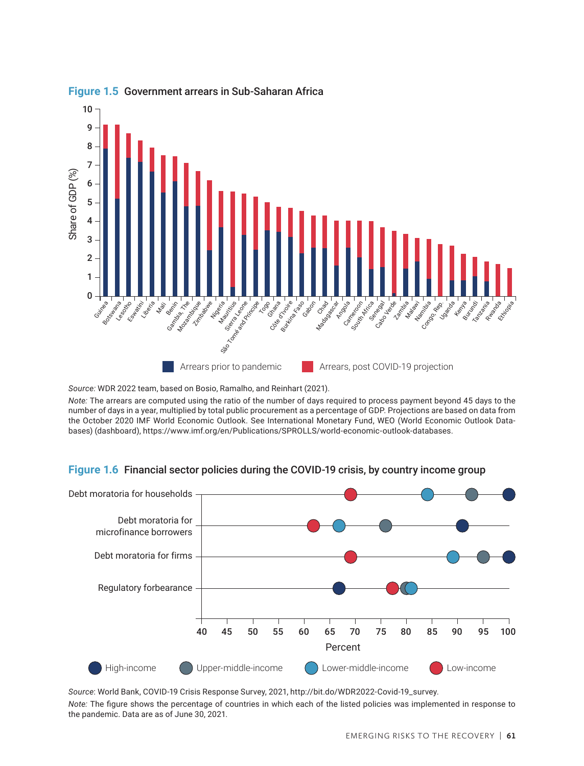

#### **Figure 1.5** Government arrears in Sub-Saharan Africa

*Note:* The arrears are computed using the ratio of the number of days required to process payment beyond 45 days to the number of days in a year, multiplied by total public procurement as a percentage of GDP. Projections are based on data from the October 2020 IMF World Economic Outlook. See International Monetary Fund, WEO (World Economic Outlook Databases) (dashboard), https://www.imf.org/en/Publications/SPROLLS/world-economic-outlook-databases.

# **Figure 1.6** Financial sector policies during the COVID-19 crisis, by country income group Figure 1.6



*Source*: World Bank, COVID-19 Crisis Response Survey, 2021, http://bit.do/WDR2022-Covid-19\_survey. *Note:* The figure shows the percentage of countries in which each of the listed policies was implemented in response to the pandemic. Data are as of June 30, 2021.

*Source:* WDR 2022 team, based on Bosio, Ramalho, and Reinhart (2021).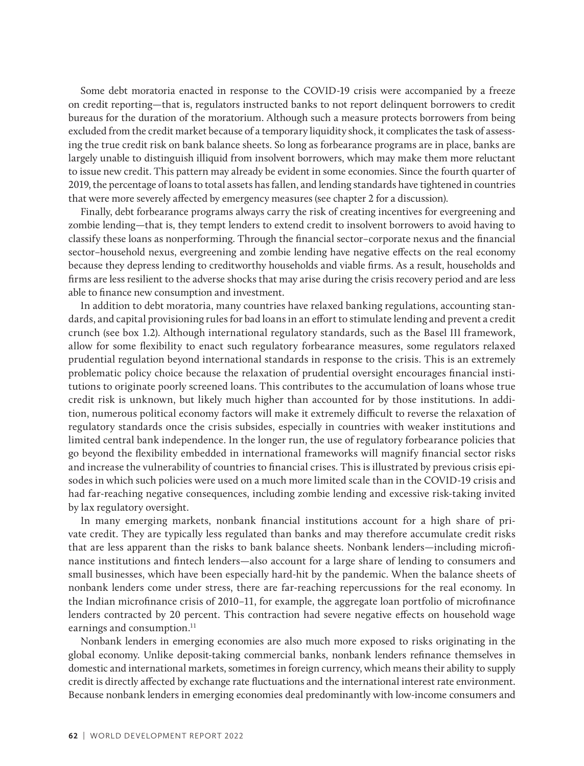Some debt moratoria enacted in response to the COVID-19 crisis were accompanied by a freeze on credit reporting—that is, regulators instructed banks to not report delinquent borrowers to credit bureaus for the duration of the moratorium. Although such a measure protects borrowers from being excluded from the credit market because of a temporary liquidity shock, it complicates the task of assessing the true credit risk on bank balance sheets. So long as forbearance programs are in place, banks are largely unable to distinguish illiquid from insolvent borrowers, which may make them more reluctant to issue new credit. This pattern may already be evident in some economies. Since the fourth quarter of 2019, the percentage of loans to total assets has fallen, and lending standards have tightened in countries that were more severely affected by emergency measures (see chapter 2 for a discussion).

Finally, debt forbearance programs always carry the risk of creating incentives for evergreening and zombie lending—that is, they tempt lenders to extend credit to insolvent borrowers to avoid having to classify these loans as nonperforming. Through the financial sector–corporate nexus and the financial sector–household nexus, evergreening and zombie lending have negative effects on the real economy because they depress lending to creditworthy households and viable firms. As a result, households and firms are less resilient to the adverse shocks that may arise during the crisis recovery period and are less able to finance new consumption and investment.

In addition to debt moratoria, many countries have relaxed banking regulations, accounting standards, and capital provisioning rules for bad loans in an effort to stimulate lending and prevent a credit crunch (see box 1.2). Although international regulatory standards, such as the Basel III framework, allow for some flexibility to enact such regulatory forbearance measures, some regulators relaxed prudential regulation beyond international standards in response to the crisis. This is an extremely problematic policy choice because the relaxation of prudential oversight encourages financial institutions to originate poorly screened loans. This contributes to the accumulation of loans whose true credit risk is unknown, but likely much higher than accounted for by those institutions. In addition, numerous political economy factors will make it extremely difficult to reverse the relaxation of regulatory standards once the crisis subsides, especially in countries with weaker institutions and limited central bank independence. In the longer run, the use of regulatory forbearance policies that go beyond the flexibility embedded in international frameworks will magnify financial sector risks and increase the vulnerability of countries to financial crises. This is illustrated by previous crisis episodes in which such policies were used on a much more limited scale than in the COVID-19 crisis and had far-reaching negative consequences, including zombie lending and excessive risk-taking invited by lax regulatory oversight.

In many emerging markets, nonbank financial institutions account for a high share of private credit. They are typically less regulated than banks and may therefore accumulate credit risks that are less apparent than the risks to bank balance sheets. Nonbank lenders—including microfinance institutions and fintech lenders—also account for a large share of lending to consumers and small businesses, which have been especially hard-hit by the pandemic. When the balance sheets of nonbank lenders come under stress, there are far-reaching repercussions for the real economy. In the Indian microfinance crisis of 2010–11, for example, the aggregate loan portfolio of microfinance lenders contracted by 20 percent. This contraction had severe negative effects on household wage earnings and consumption.<sup>11</sup>

Nonbank lenders in emerging economies are also much more exposed to risks originating in the global economy. Unlike deposit-taking commercial banks, nonbank lenders refinance themselves in domestic and international markets, sometimes in foreign currency, which means their ability to supply credit is directly affected by exchange rate fluctuations and the international interest rate environment. Because nonbank lenders in emerging economies deal predominantly with low-income consumers and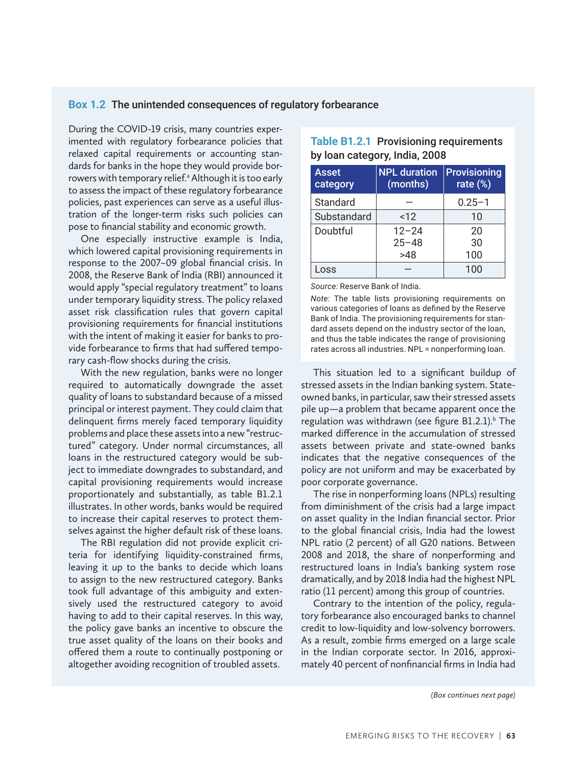#### **Box 1.2** The unintended consequences of regulatory forbearance

During the COVID-19 crisis, many countries experimented with regulatory forbearance policies that relaxed capital requirements or accounting standards for banks in the hope they would provide borrowers with temporary relief.<sup>a</sup> Although it is too early to assess the impact of these regulatory forbearance policies, past experiences can serve as a useful illustration of the longer-term risks such policies can pose to financial stability and economic growth.

One especially instructive example is India, which lowered capital provisioning requirements in response to the 2007–09 global financial crisis. In 2008, the Reserve Bank of India (RBI) announced it would apply "special regulatory treatment" to loans under temporary liquidity stress. The policy relaxed asset risk classification rules that govern capital provisioning requirements for financial institutions with the intent of making it easier for banks to provide forbearance to firms that had suffered temporary cash-flow shocks during the crisis.

With the new regulation, banks were no longer required to automatically downgrade the asset quality of loans to substandard because of a missed principal or interest payment. They could claim that delinquent firms merely faced temporary liquidity problems and place these assets into a new "restructured" category. Under normal circumstances, all loans in the restructured category would be subject to immediate downgrades to substandard, and capital provisioning requirements would increase proportionately and substantially, as table B1.2.1 illustrates. In other words, banks would be required to increase their capital reserves to protect themselves against the higher default risk of these loans.

The RBI regulation did not provide explicit criteria for identifying liquidity-constrained firms, leaving it up to the banks to decide which loans to assign to the new restructured category. Banks took full advantage of this ambiguity and extensively used the restructured category to avoid having to add to their capital reserves. In this way, the policy gave banks an incentive to obscure the true asset quality of the loans on their books and offered them a route to continually postponing or altogether avoiding recognition of troubled assets.

| Asset<br>category | <b>NPL</b> duration<br>(months) | Provisioning<br>rate $(\%)$ |
|-------------------|---------------------------------|-----------------------------|
| Standard          |                                 | $0.25 - 1$                  |
| Substandard       | < 12                            | 10                          |
| Doubtful          | $12 - 24$                       | 20                          |
|                   | $25 - 48$                       | 30                          |
|                   | >48                             | 100                         |
| Loss              |                                 | 100                         |

#### **Table B1.2.1** Provisioning requirements by loan category, India, 2008

*Source:* Reserve Bank of India.

*Note:* The table lists provisioning requirements on various categories of loans as defined by the Reserve Bank of India. The provisioning requirements for standard assets depend on the industry sector of the loan, and thus the table indicates the range of provisioning rates across all industries. NPL = nonperforming loan.

This situation led to a significant buildup of stressed assets in the Indian banking system. Stateowned banks, in particular, saw their stressed assets pile up—a problem that became apparent once the regulation was withdrawn (see figure B1.2.1).<sup>b</sup> The marked difference in the accumulation of stressed assets between private and state-owned banks indicates that the negative consequences of the policy are not uniform and may be exacerbated by poor corporate governance.

The rise in nonperforming loans (NPLs) resulting from diminishment of the crisis had a large impact on asset quality in the Indian financial sector. Prior to the global financial crisis, India had the lowest NPL ratio (2 percent) of all G20 nations. Between 2008 and 2018, the share of nonperforming and restructured loans in India's banking system rose dramatically, and by 2018 India had the highest NPL ratio (11 percent) among this group of countries.

Contrary to the intention of the policy, regulatory forbearance also encouraged banks to channel credit to low-liquidity and low-solvency borrowers. As a result, zombie firms emerged on a large scale in the Indian corporate sector. In 2016, approximately 40 percent of nonfinancial firms in India had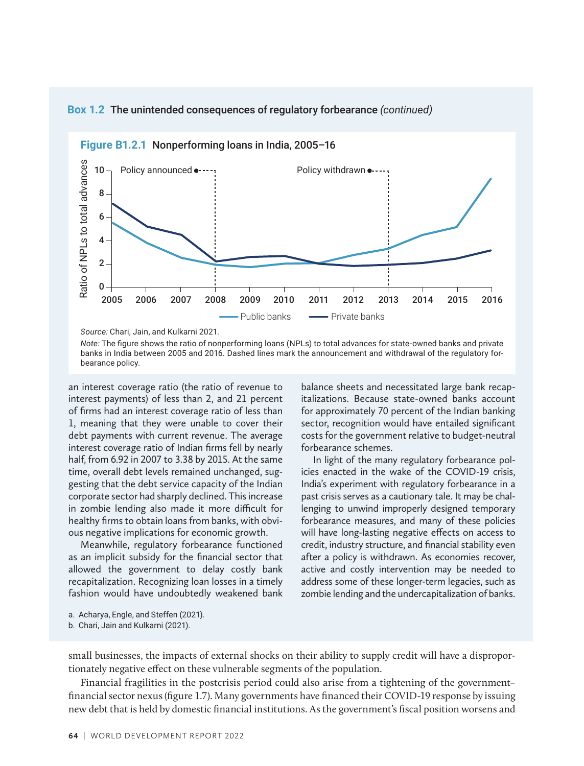

### **Box 1.2** The unintended consequences of regulatory forbearance (continued)

*Source:* Chari, Jain, and Kulkarni 2021.

*Note:* The figure shows the ratio of nonperforming loans (NPLs) to total advances for state-owned banks and private banks in India between 2005 and 2016. Dashed lines mark the announcement and withdrawal of the regulatory forbearance policy.

an interest coverage ratio (the ratio of revenue to interest payments) of less than 2, and 21 percent of firms had an interest coverage ratio of less than 1, meaning that they were unable to cover their debt payments with current revenue. The average interest coverage ratio of Indian firms fell by nearly half, from 6.92 in 2007 to 3.38 by 2015. At the same time, overall debt levels remained unchanged, suggesting that the debt service capacity of the Indian corporate sector had sharply declined. This increase in zombie lending also made it more difficult for healthy firms to obtain loans from banks, with obvious negative implications for economic growth.

Meanwhile, regulatory forbearance functioned as an implicit subsidy for the financial sector that allowed the government to delay costly bank recapitalization. Recognizing loan losses in a timely fashion would have undoubtedly weakened bank

balance sheets and necessitated large bank recapitalizations. Because state-owned banks account for approximately 70 percent of the Indian banking sector, recognition would have entailed significant costs for the government relative to budget-neutral forbearance schemes.

In light of the many regulatory forbearance policies enacted in the wake of the COVID-19 crisis, India's experiment with regulatory forbearance in a past crisis serves as a cautionary tale. It may be challenging to unwind improperly designed temporary forbearance measures, and many of these policies will have long-lasting negative effects on access to credit, industry structure, and financial stability even after a policy is withdrawn. As economies recover, active and costly intervention may be needed to address some of these longer-term legacies, such as zombie lending and the undercapitalization of banks.

- a. Acharya, Engle, and Steffen (2021).
- b. Chari, Jain and Kulkarni (2021).

small businesses, the impacts of external shocks on their ability to supply credit will have a disproportionately negative effect on these vulnerable segments of the population.

Financial fragilities in the postcrisis period could also arise from a tightening of the government– financial sector nexus (figure 1.7). Many governments have financed their COVID-19 response by issuing new debt that is held by domestic financial institutions. As the government's fiscal position worsens and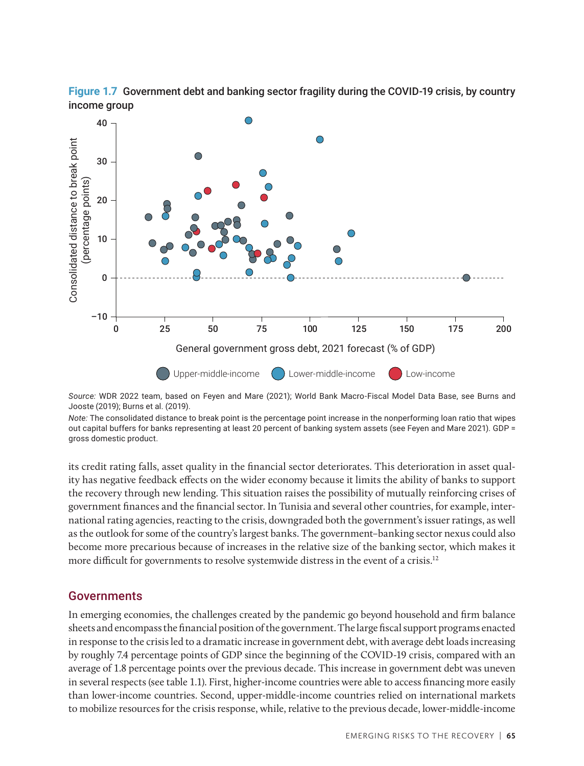



*Source:* WDR 2022 team, based on Feyen and Mare (2021); World Bank Macro-Fiscal Model Data Base, see Burns and Jooste (2019); Burns et al. (2019).

*Note:* The consolidated distance to break point is the percentage point increase in the nonperforming loan ratio that wipes out capital buffers for banks representing at least 20 percent of banking system assets (see Feyen and Mare 2021). GDP = gross domestic product.

its credit rating falls, asset quality in the financial sector deteriorates. This deterioration in asset quality has negative feedback effects on the wider economy because it limits the ability of banks to support the recovery through new lending. This situation raises the possibility of mutually reinforcing crises of government finances and the financial sector. In Tunisia and several other countries, for example, international rating agencies, reacting to the crisis, downgraded both the government's issuer ratings, as well as the outlook for some of the country's largest banks. The government–banking sector nexus could also become more precarious because of increases in the relative size of the banking sector, which makes it more difficult for governments to resolve systemwide distress in the event of a crisis.<sup>12</sup>

#### Governments

In emerging economies, the challenges created by the pandemic go beyond household and firm balance sheets and encompass the financial position of the government. The large fiscal support programs enacted in response to the crisis led to a dramatic increase in government debt, with average debt loads increasing by roughly 7.4 percentage points of GDP since the beginning of the COVID-19 crisis, compared with an average of 1.8 percentage points over the previous decade. This increase in government debt was uneven in several respects (see table 1.1). First, higher-income countries were able to access financing more easily than lower-income countries. Second, upper-middle-income countries relied on international markets to mobilize resources for the crisis response, while, relative to the previous decade, lower-middle-income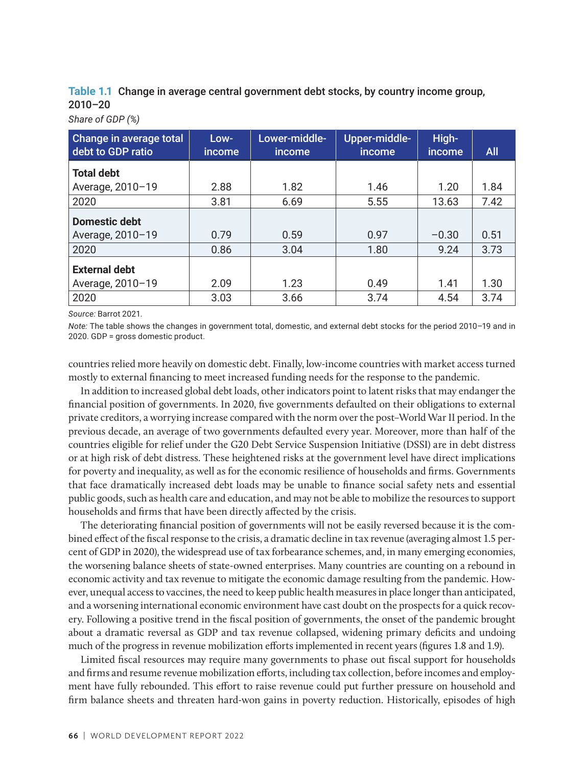**Table 1.1** Change in average central government debt stocks, by country income group, 2010–20

*Share of GDP (%)*

| <b>Change in average total</b><br>debt to GDP ratio | Low-<br><i>income</i> | Lower-middle-<br><i>income</i> | Upper-middle-<br>income | High-<br>income | <b>All</b> |
|-----------------------------------------------------|-----------------------|--------------------------------|-------------------------|-----------------|------------|
| <b>Total debt</b>                                   |                       |                                |                         |                 |            |
| Average, 2010-19                                    | 2.88                  | 1.82                           | 1.46                    | 1.20            | 1.84       |
| 2020                                                | 3.81                  | 6.69                           | 5.55                    | 13.63           | 7.42       |
| <b>Domestic debt</b>                                |                       |                                |                         |                 |            |
| Average, 2010-19                                    | 0.79                  | 0.59                           | 0.97                    | $-0.30$         | 0.51       |
| 2020                                                | 0.86                  | 3.04                           | 1.80                    | 9.24            | 3.73       |
| <b>External debt</b>                                |                       |                                |                         |                 |            |
| Average, 2010-19                                    | 2.09                  | 1.23                           | 0.49                    | 1.41            | 1.30       |
| 2020                                                | 3.03                  | 3.66                           | 3.74                    | 4.54            | 3.74       |

*Source:* Barrot 2021.

*Note:* The table shows the changes in government total, domestic, and external debt stocks for the period 2010–19 and in 2020. GDP = gross domestic product.

countries relied more heavily on domestic debt. Finally, low-income countries with market access turned mostly to external financing to meet increased funding needs for the response to the pandemic.

In addition to increased global debt loads, other indicators point to latent risks that may endanger the financial position of governments. In 2020, five governments defaulted on their obligations to external private creditors, a worrying increase compared with the norm over the post–World War II period. In the previous decade, an average of two governments defaulted every year. Moreover, more than half of the countries eligible for relief under the G20 Debt Service Suspension Initiative (DSSI) are in debt distress or at high risk of debt distress. These heightened risks at the government level have direct implications for poverty and inequality, as well as for the economic resilience of households and firms. Governments that face dramatically increased debt loads may be unable to finance social safety nets and essential public goods, such as health care and education, and may not be able to mobilize the resources to support households and firms that have been directly affected by the crisis.

The deteriorating financial position of governments will not be easily reversed because it is the combined effect of the fiscal response to the crisis, a dramatic decline in tax revenue (averaging almost 1.5 percent of GDP in 2020), the widespread use of tax forbearance schemes, and, in many emerging economies, the worsening balance sheets of state-owned enterprises. Many countries are counting on a rebound in economic activity and tax revenue to mitigate the economic damage resulting from the pandemic. However, unequal access to vaccines, the need to keep public health measures in place longer than anticipated, and a worsening international economic environment have cast doubt on the prospects for a quick recovery. Following a positive trend in the fiscal position of governments, the onset of the pandemic brought about a dramatic reversal as GDP and tax revenue collapsed, widening primary deficits and undoing much of the progress in revenue mobilization efforts implemented in recent years (figures 1.8 and 1.9).

Limited fiscal resources may require many governments to phase out fiscal support for households and firms and resume revenue mobilization efforts, including tax collection, before incomes and employment have fully rebounded. This effort to raise revenue could put further pressure on household and firm balance sheets and threaten hard-won gains in poverty reduction. Historically, episodes of high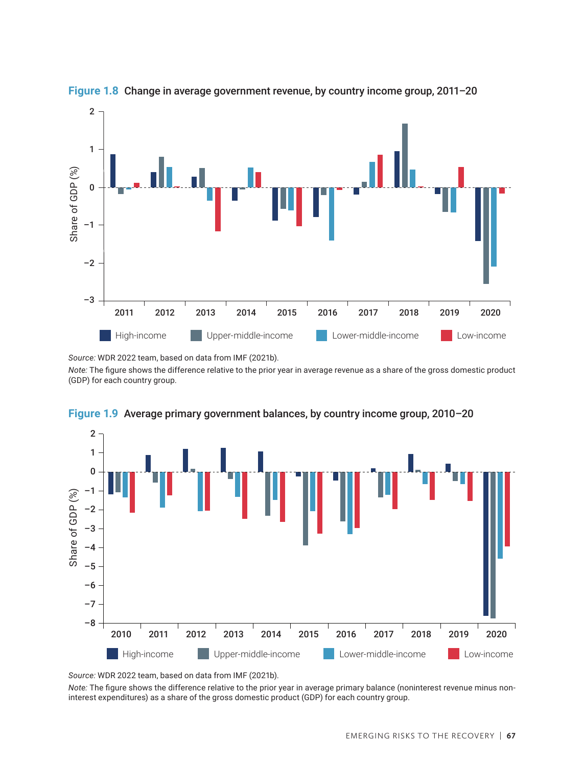

**Figure 1.8** Change in average government revenue, by country income group, 2011–20 Figure 1.8

*Source:* WDR 2022 team, based on data from IMF (2021b).

*Note:* The figure shows the difference relative to the prior year in average revenue as a share of the gross domestic product (GDP) for each country group.



**Figure 1.9** Average primary government balances, by country income group, 2010–20 Figure 1.9

*Source:* WDR 2022 team, based on data from IMF (2021b).

*Note:* The figure shows the difference relative to the prior year in average primary balance (noninterest revenue minus noninterest expenditures) as a share of the gross domestic product (GDP) for each country group.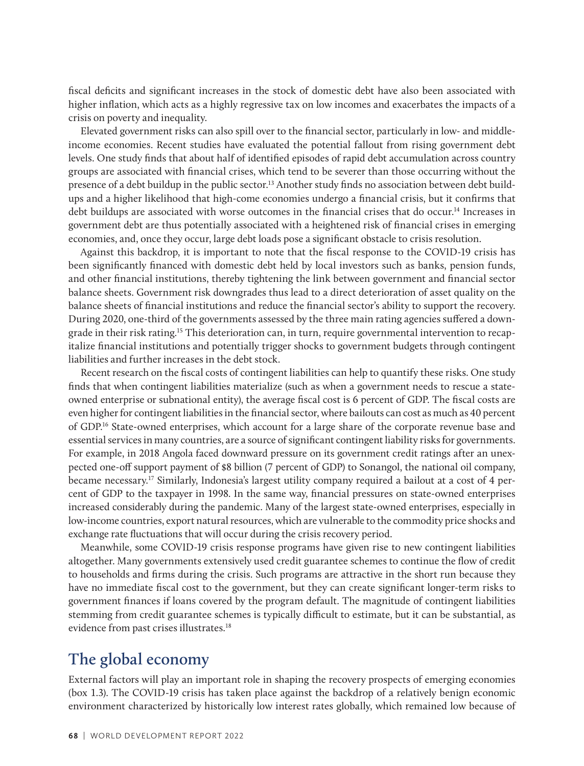fiscal deficits and significant increases in the stock of domestic debt have also been associated with higher inflation, which acts as a highly regressive tax on low incomes and exacerbates the impacts of a crisis on poverty and inequality.

Elevated government risks can also spill over to the financial sector, particularly in low- and middleincome economies. Recent studies have evaluated the potential fallout from rising government debt levels. One study finds that about half of identified episodes of rapid debt accumulation across country groups are associated with financial crises, which tend to be severer than those occurring without the presence of a debt buildup in the public sector.<sup>13</sup> Another study finds no association between debt buildups and a higher likelihood that high-come economies undergo a financial crisis, but it confirms that debt buildups are associated with worse outcomes in the financial crises that do occur.14 Increases in government debt are thus potentially associated with a heightened risk of financial crises in emerging economies, and, once they occur, large debt loads pose a significant obstacle to crisis resolution.

Against this backdrop, it is important to note that the fiscal response to the COVID-19 crisis has been significantly financed with domestic debt held by local investors such as banks, pension funds, and other financial institutions, thereby tightening the link between government and financial sector balance sheets. Government risk downgrades thus lead to a direct deterioration of asset quality on the balance sheets of financial institutions and reduce the financial sector's ability to support the recovery. During 2020, one-third of the governments assessed by the three main rating agencies suffered a downgrade in their risk rating.<sup>15</sup> This deterioration can, in turn, require governmental intervention to recapitalize financial institutions and potentially trigger shocks to government budgets through contingent liabilities and further increases in the debt stock.

Recent research on the fiscal costs of contingent liabilities can help to quantify these risks. One study finds that when contingent liabilities materialize (such as when a government needs to rescue a stateowned enterprise or subnational entity), the average fiscal cost is 6 percent of GDP. The fiscal costs are even higher for contingent liabilities in the financial sector, where bailouts can cost as much as 40 percent of GDP.16 State-owned enterprises, which account for a large share of the corporate revenue base and essential services in many countries, are a source of significant contingent liability risks for governments. For example, in 2018 Angola faced downward pressure on its government credit ratings after an unexpected one-off support payment of \$8 billion (7 percent of GDP) to Sonangol, the national oil company, became necessary.17 Similarly, Indonesia's largest utility company required a bailout at a cost of 4 percent of GDP to the taxpayer in 1998. In the same way, financial pressures on state-owned enterprises increased considerably during the pandemic. Many of the largest state-owned enterprises, especially in low-income countries, export natural resources, which are vulnerable to the commodity price shocks and exchange rate fluctuations that will occur during the crisis recovery period.

Meanwhile, some COVID-19 crisis response programs have given rise to new contingent liabilities altogether. Many governments extensively used credit guarantee schemes to continue the flow of credit to households and firms during the crisis. Such programs are attractive in the short run because they have no immediate fiscal cost to the government, but they can create significant longer-term risks to government finances if loans covered by the program default. The magnitude of contingent liabilities stemming from credit guarantee schemes is typically difficult to estimate, but it can be substantial, as evidence from past crises illustrates.<sup>18</sup>

### **The global economy**

External factors will play an important role in shaping the recovery prospects of emerging economies (box 1.3). The COVID-19 crisis has taken place against the backdrop of a relatively benign economic environment characterized by historically low interest rates globally, which remained low because of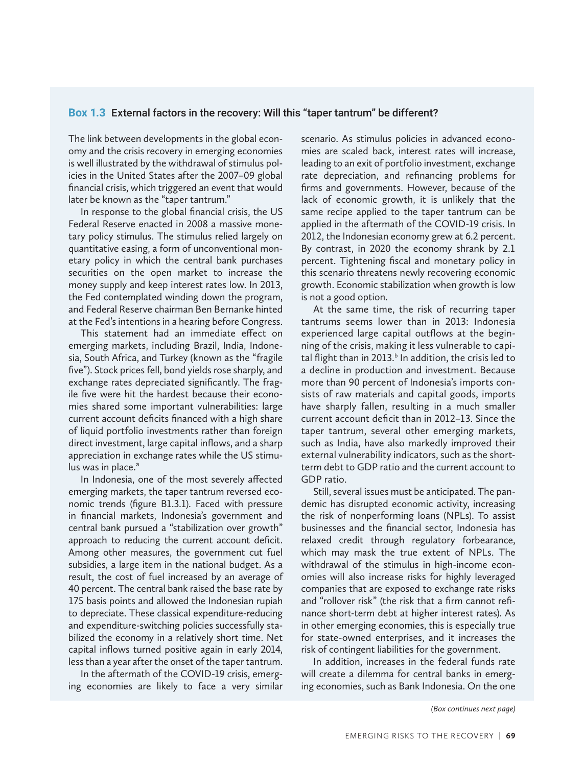#### **Box 1.3** External factors in the recovery: Will this "taper tantrum" be different?

The link between developments in the global economy and the crisis recovery in emerging economies is well illustrated by the withdrawal of stimulus policies in the United States after the 2007–09 global financial crisis, which triggered an event that would later be known as the "taper tantrum."

In response to the global financial crisis, the US Federal Reserve enacted in 2008 a massive monetary policy stimulus. The stimulus relied largely on quantitative easing, a form of unconventional monetary policy in which the central bank purchases securities on the open market to increase the money supply and keep interest rates low. In 2013, the Fed contemplated winding down the program, and Federal Reserve chairman Ben Bernanke hinted at the Fed's intentions in a hearing before Congress.

This statement had an immediate effect on emerging markets, including Brazil, India, Indonesia, South Africa, and Turkey (known as the "fragile five"). Stock prices fell, bond yields rose sharply, and exchange rates depreciated significantly. The fragile five were hit the hardest because their economies shared some important vulnerabilities: large current account deficits financed with a high share of liquid portfolio investments rather than foreign direct investment, large capital inflows, and a sharp appreciation in exchange rates while the US stimulus was in place. $a^a$ 

In Indonesia, one of the most severely affected emerging markets, the taper tantrum reversed economic trends (figure B1.3.1). Faced with pressure in financial markets, Indonesia's government and central bank pursued a "stabilization over growth" approach to reducing the current account deficit. Among other measures, the government cut fuel subsidies, a large item in the national budget. As a result, the cost of fuel increased by an average of 40 percent. The central bank raised the base rate by 175 basis points and allowed the Indonesian rupiah to depreciate. These classical expenditure-reducing and expenditure-switching policies successfully stabilized the economy in a relatively short time. Net capital inflows turned positive again in early 2014, less than a year after the onset of the taper tantrum.

In the aftermath of the COVID-19 crisis, emerging economies are likely to face a very similar scenario. As stimulus policies in advanced economies are scaled back, interest rates will increase, leading to an exit of portfolio investment, exchange rate depreciation, and refinancing problems for firms and governments. However, because of the lack of economic growth, it is unlikely that the same recipe applied to the taper tantrum can be applied in the aftermath of the COVID-19 crisis. In 2012, the Indonesian economy grew at 6.2 percent. By contrast, in 2020 the economy shrank by 2.1 percent. Tightening fiscal and monetary policy in this scenario threatens newly recovering economic growth. Economic stabilization when growth is low is not a good option.

At the same time, the risk of recurring taper tantrums seems lower than in 2013: Indonesia experienced large capital outflows at the beginning of the crisis, making it less vulnerable to capital flight than in 2013.<sup>b</sup> In addition, the crisis led to a decline in production and investment. Because more than 90 percent of Indonesia's imports consists of raw materials and capital goods, imports have sharply fallen, resulting in a much smaller current account deficit than in 2012–13. Since the taper tantrum, several other emerging markets, such as India, have also markedly improved their external vulnerability indicators, such as the shortterm debt to GDP ratio and the current account to GDP ratio.

Still, several issues must be anticipated. The pandemic has disrupted economic activity, increasing the risk of nonperforming loans (NPLs). To assist businesses and the financial sector, Indonesia has relaxed credit through regulatory forbearance, which may mask the true extent of NPLs. The withdrawal of the stimulus in high-income economies will also increase risks for highly leveraged companies that are exposed to exchange rate risks and "rollover risk" (the risk that a firm cannot refinance short-term debt at higher interest rates). As in other emerging economies, this is especially true for state-owned enterprises, and it increases the risk of contingent liabilities for the government.

In addition, increases in the federal funds rate will create a dilemma for central banks in emerging economies, such as Bank Indonesia. On the one

*(Box continues next page)*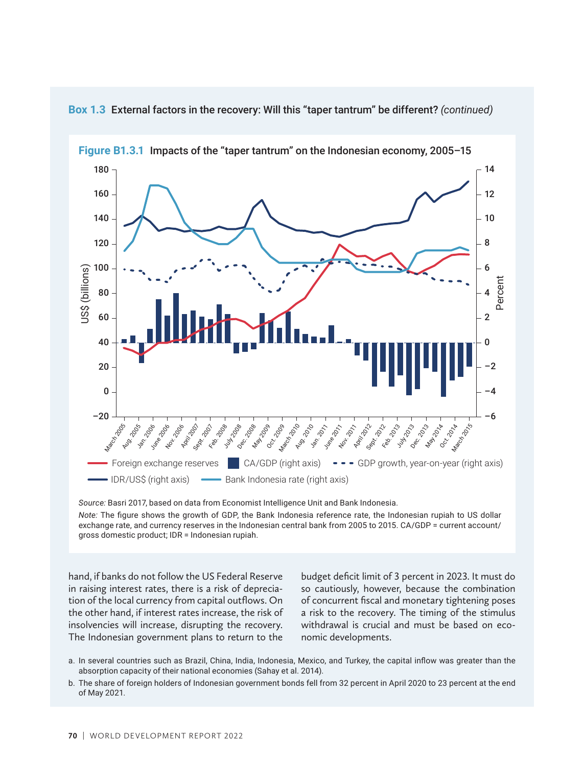

**Box 1.3** External factors in the recovery: Will this "taper tantrum" be different? *(continued)*

*Source:* Basri 2017, based on data from Economist Intelligence Unit and Bank Indonesia.

*Note:* The figure shows the growth of GDP, the Bank Indonesia reference rate, the Indonesian rupiah to US dollar exchange rate, and currency reserves in the Indonesian central bank from 2005 to 2015. CA/GDP = current account/ gross domestic product; IDR = Indonesian rupiah.

hand, if banks do not follow the US Federal Reserve in raising interest rates, there is a risk of depreciation of the local currency from capital outflows. On the other hand, if interest rates increase, the risk of insolvencies will increase, disrupting the recovery. The Indonesian government plans to return to the

budget deficit limit of 3 percent in 2023. It must do so cautiously, however, because the combination of concurrent fiscal and monetary tightening poses a risk to the recovery. The timing of the stimulus withdrawal is crucial and must be based on economic developments.

- a. In several countries such as Brazil, China, India, Indonesia, Mexico, and Turkey, the capital inflow was greater than the absorption capacity of their national economies (Sahay et al. 2014).
- b. The share of foreign holders of Indonesian government bonds fell from 32 percent in April 2020 to 23 percent at the end of May 2021.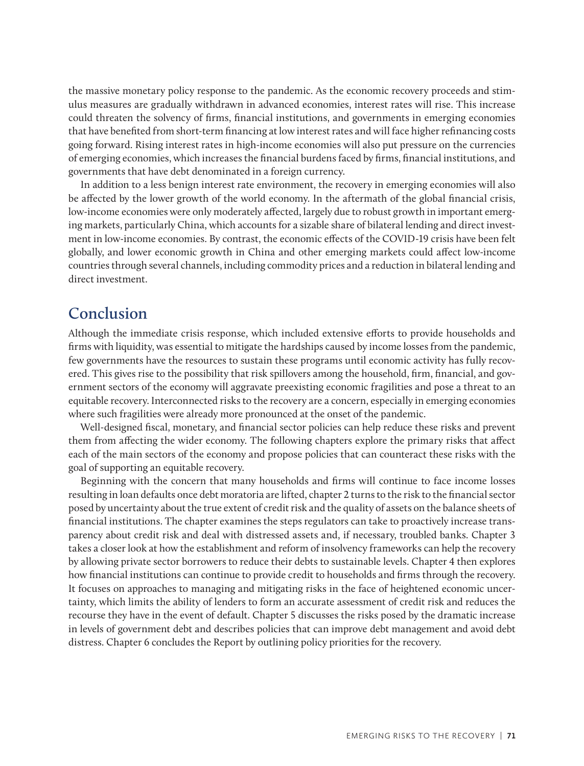the massive monetary policy response to the pandemic. As the economic recovery proceeds and stimulus measures are gradually withdrawn in advanced economies, interest rates will rise. This increase could threaten the solvency of firms, financial institutions, and governments in emerging economies that have benefited from short-term financing at low interest rates and will face higher refinancing costs going forward. Rising interest rates in high-income economies will also put pressure on the currencies of emerging economies, which increases the financial burdens faced by firms, financial institutions, and governments that have debt denominated in a foreign currency.

In addition to a less benign interest rate environment, the recovery in emerging economies will also be affected by the lower growth of the world economy. In the aftermath of the global financial crisis, low-income economies were only moderately affected, largely due to robust growth in important emerging markets, particularly China, which accounts for a sizable share of bilateral lending and direct investment in low-income economies. By contrast, the economic effects of the COVID-19 crisis have been felt globally, and lower economic growth in China and other emerging markets could affect low-income countries through several channels, including commodity prices and a reduction in bilateral lending and direct investment.

### **Conclusion**

Although the immediate crisis response, which included extensive efforts to provide households and firms with liquidity, was essential to mitigate the hardships caused by income losses from the pandemic, few governments have the resources to sustain these programs until economic activity has fully recovered. This gives rise to the possibility that risk spillovers among the household, firm, financial, and government sectors of the economy will aggravate preexisting economic fragilities and pose a threat to an equitable recovery. Interconnected risks to the recovery are a concern, especially in emerging economies where such fragilities were already more pronounced at the onset of the pandemic.

Well-designed fiscal, monetary, and financial sector policies can help reduce these risks and prevent them from affecting the wider economy. The following chapters explore the primary risks that affect each of the main sectors of the economy and propose policies that can counteract these risks with the goal of supporting an equitable recovery.

Beginning with the concern that many households and firms will continue to face income losses resulting in loan defaults once debt moratoria are lifted, chapter 2 turns to the risk to the financial sector posed by uncertainty about the true extent of credit risk and the quality of assets on the balance sheets of financial institutions. The chapter examines the steps regulators can take to proactively increase transparency about credit risk and deal with distressed assets and, if necessary, troubled banks. Chapter 3 takes a closer look at how the establishment and reform of insolvency frameworks can help the recovery by allowing private sector borrowers to reduce their debts to sustainable levels. Chapter 4 then explores how financial institutions can continue to provide credit to households and firms through the recovery. It focuses on approaches to managing and mitigating risks in the face of heightened economic uncertainty, which limits the ability of lenders to form an accurate assessment of credit risk and reduces the recourse they have in the event of default. Chapter 5 discusses the risks posed by the dramatic increase in levels of government debt and describes policies that can improve debt management and avoid debt distress. Chapter 6 concludes the Report by outlining policy priorities for the recovery.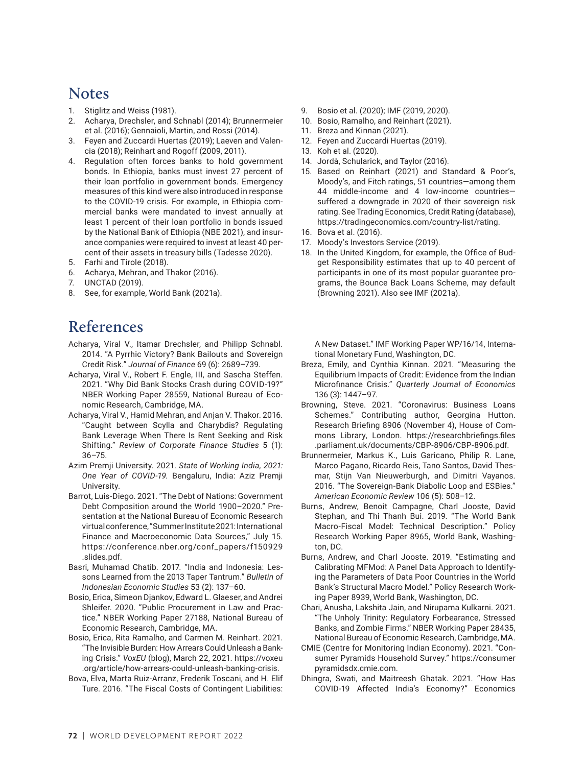### **Notes**

- 1. Stiglitz and Weiss (1981).
- 2. Acharya, Drechsler, and Schnabl (2014); Brunnermeier et al. (2016); Gennaioli, Martin, and Rossi (2014).
- 3. Feyen and Zuccardi Huertas (2019); Laeven and Valencia (2018); Reinhart and Rogoff (2009, 2011).
- 4. Regulation often forces banks to hold government bonds. In Ethiopia, banks must invest 27 percent of their loan portfolio in government bonds. Emergency measures of this kind were also introduced in response to the COVID-19 crisis. For example, in Ethiopia commercial banks were mandated to invest annually at least 1 percent of their loan portfolio in bonds issued by the National Bank of Ethiopia (NBE 2021), and insurance companies were required to invest at least 40 percent of their assets in treasury bills (Tadesse 2020).
- 5. Farhi and Tirole (2018).
- 6. Acharya, Mehran, and Thakor (2016).
- 7. UNCTAD (2019).
- 8. See, for example, World Bank (2021a).

## **References**

- Acharya, Viral V., Itamar Drechsler, and Philipp Schnabl. 2014. "A Pyrrhic Victory? Bank Bailouts and Sovereign Credit Risk." *Journal of Finance* 69 (6): 2689–739.
- Acharya, Viral V., Robert F. Engle, III, and Sascha Steffen. 2021. "Why Did Bank Stocks Crash during COVID-19?" NBER Working Paper 28559, National Bureau of Economic Research, Cambridge, MA.
- Acharya, Viral V., Hamid Mehran, and Anjan V. Thakor. 2016. "Caught between Scylla and Charybdis? Regulating Bank Leverage When There Is Rent Seeking and Risk Shifting." *Review of Corporate Finance Studies* 5 (1): 36–75.
- Azim Premji University. 2021. *State of Working India, 2021: One Year of COVID-19.* Bengaluru, India: Aziz Premji **University**
- Barrot, Luis-Diego. 2021. "The Debt of Nations: Government Debt Composition around the World 1900–2020." Presentation at the National Bureau of Economic Research virtual conference, "Summer Institute 2021: International Finance and Macroeconomic Data Sources," July 15. https://conference.nber.org/conf\_papers/f150929 .slides.pdf.
- Basri, Muhamad Chatib. 2017. "India and Indonesia: Lessons Learned from the 2013 Taper Tantrum." *Bulletin of Indonesian Economic Studies* 53 (2): 137–60.
- Bosio, Erica, Simeon Djankov, Edward L. Glaeser, and Andrei Shleifer. 2020. "Public Procurement in Law and Practice." NBER Working Paper 27188, National Bureau of Economic Research, Cambridge, MA.
- Bosio, Erica, Rita Ramalho, and Carmen M. Reinhart. 2021. "The Invisible Burden: How Arrears Could Unleash a Banking Crisis." *VoxEU* (blog), March 22, 2021. [https://voxeu](https://voxeu.org/article/how-arrears-could-unleash-banking-crisis) [.org/article/how-arrears-could-unleash-banking-crisis.](https://voxeu.org/article/how-arrears-could-unleash-banking-crisis)
- Bova, Elva, Marta Ruiz-Arranz, Frederik Toscani, and H. Elif Ture. 2016. "The Fiscal Costs of Contingent Liabilities:
- 9. Bosio et al. (2020); IMF (2019, 2020).
- 10. Bosio, Ramalho, and Reinhart (2021).
- 11. Breza and Kinnan (2021).
- 12. Feyen and Zuccardi Huertas (2019).
- 13. Koh et al. (2020).
- 14. Jordà, Schularick, and Taylor (2016).
- 15. Based on Reinhart (2021) and Standard & Poor's, Moody's, and Fitch ratings, 51 countries—among them 44 middle-income and 4 low-income countries suffered a downgrade in 2020 of their sovereign risk rating. See Trading Economics, Credit Rating (database), https://tradingeconomics.com/country-list/rating.
- 16. Bova et al. (2016).
- 17. Moody's Investors Service (2019).
- 18. In the United Kingdom, for example, the Office of Budget Responsibility estimates that up to 40 percent of participants in one of its most popular guarantee programs, the Bounce Back Loans Scheme, may default (Browning 2021). Also see IMF (2021a).

A New Dataset." IMF Working Paper WP/16/14, International Monetary Fund, Washington, DC.

- Breza, Emily, and Cynthia Kinnan. 2021. "Measuring the Equilibrium Impacts of Credit: Evidence from the Indian Microfinance Crisis." *Quarterly Journal of Economics* 136 (3): 1447–97.
- Browning, Steve. 2021. "Coronavirus: Business Loans Schemes." Contributing author, Georgina Hutton. Research Briefing 8906 (November 4), House of Commons Library, London. https://researchbriefings.files .parliament.uk/documents/CBP-8906/CBP-8906.pdf.
- Brunnermeier, Markus K., Luis Garicano, Philip R. Lane, Marco Pagano, Ricardo Reis, Tano Santos, David Thesmar, Stijn Van Nieuwerburgh, and Dimitri Vayanos. 2016. "The Sovereign-Bank Diabolic Loop and ESBies." *American Economic Review* 106 (5): 508–12.
- Burns, Andrew, Benoit Campagne, Charl Jooste, David Stephan, and Thi Thanh Bui. 2019. "The World Bank Macro-Fiscal Model: Technical Description." Policy Research Working Paper 8965, World Bank, Washington, DC.
- Burns, Andrew, and Charl Jooste. 2019. "Estimating and Calibrating MFMod: A Panel Data Approach to Identifying the Parameters of Data Poor Countries in the World Bank's Structural Macro Model." Policy Research Working Paper 8939, World Bank, Washington, DC.
- Chari, Anusha, Lakshita Jain, and Nirupama Kulkarni. 2021. "The Unholy Trinity: Regulatory Forbearance, Stressed Banks, and Zombie Firms." NBER Working Paper 28435, National Bureau of Economic Research, Cambridge, MA.
- CMIE (Centre for Monitoring Indian Economy). 2021. "Consumer Pyramids Household Survey." https://consumer pyramidsdx.cmie.com.
- Dhingra, Swati, and Maitreesh Ghatak. 2021. "How Has COVID-19 Affected India's Economy?" Economics